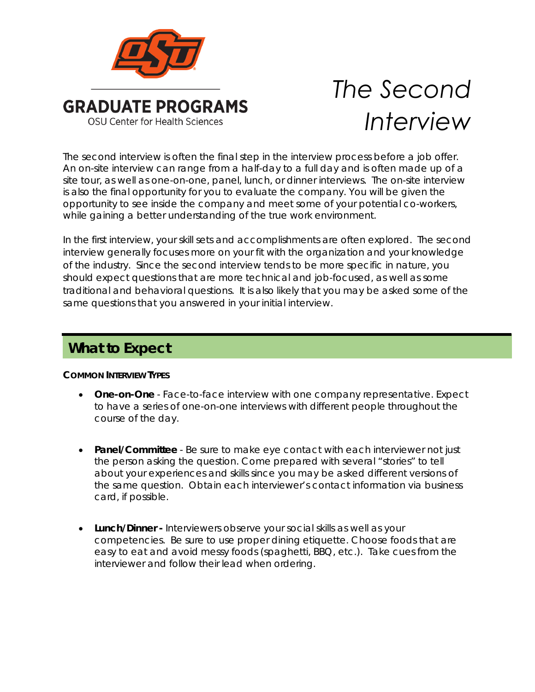

# *The Second Interview*

The second interview is often the final step in the interview process before a job offer. An on-site interview can range from a half-day to a full day and is often made up of a site tour, as well as one-on-one, panel, lunch, or dinner interviews. The on-site interview is also the final opportunity for you to evaluate the company. You will be given the opportunity to see inside the company and meet some of your potential co-workers, while gaining a better understanding of the true work environment.

In the first interview, your skill sets and accomplishments are often explored. The second interview generally focuses more on your fit with the organization and your knowledge of the industry. Since the second interview tends to be more specific in nature, you should expect questions that are more technical and job-focused, as well as some traditional and behavioral questions. It is also likely that you may be asked some of the same questions that you answered in your initial interview.

## **What to Expect**

### **COMMON INTERVIEW TYPES**

- One-on-One Face-to-face interview with one company representative. Expect to have a series of one-on-one interviews with different people throughout the course of the day.
- **Panel/Committee** Be sure to make eye contact with each interviewer not just the person asking the question. Come prepared with several "stories" to tell about your experiences and skills since you may be asked different versions of the same question. Obtain each interviewer's contact information via business card, if possible.
- *Lunch/Dinner -* Interviewers observe your social skills as well as your competencies. Be sure to use proper dining etiquette. Choose foods that are easy to eat and avoid messy foods (spaghetti, BBQ, etc.). Take cues from the interviewer and follow their lead when ordering.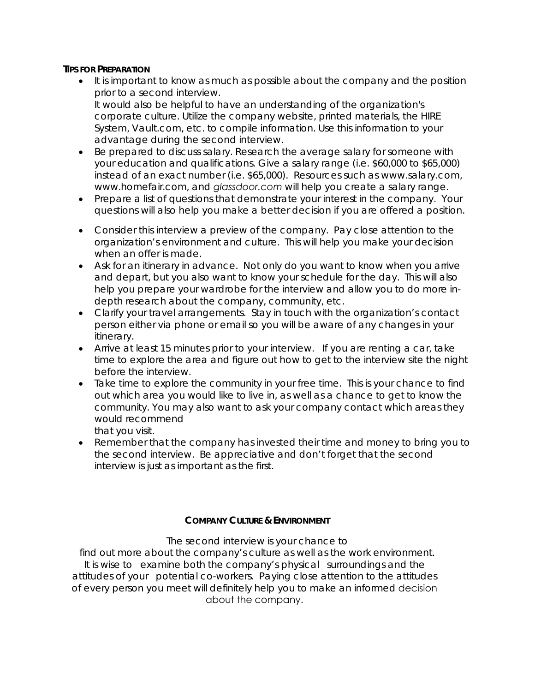#### **TIPS FOR PREPARATION**

- It is important to know as much as possible about the company and the position prior to a second interview. It would also be helpful to have an understanding of the organization's corporate culture. Utilize the company website, printed materials, the *HIRE System*, *Vault.com*, etc. to compile information. Use this information to your advantage during the second interview.
- Be prepared to discuss salary. Research the average salary for someone with your education and qualifications. Give a salary range (i.e. \$60,000 to \$65,000) instead of an exact number (i.e. \$65,000). Resources such as *www.salary.com, www.homefair.com*, and *glassdoor.com* will help you create a salary range.
- Prepare a list of questions that demonstrate your interest in the company. Your questions will also help you make a better decision if you are offered a position.
- Consider this interview a preview of the company. Pay close attention to the organization's environment and culture. This will help you make your decision when an offer is made.
- Ask for an itinerary in advance. Not only do you want to know when you arrive and depart, but you also want to know your schedule for the day. This will also help you prepare your wardrobe for the interview and allow you to do more indepth research about the company, community, etc.
- Clarify your travel arrangements. Stay in touch with the organization's contact person either via phone or email so you will be aware of any changes in your itinerary.
- Arrive at least 15 minutes prior to your interview. If you are renting a car, take time to explore the area and figure out how to get to the interview site the night before the interview.
- Take time to explore the community in your free time. This is your chance to find out which area you would like to live in, as well as a chance to get to know the community. You may also want to ask your company contact which areas they would recommend that you visit.
- Remember that the company has invested their time and money to bring you to the second interview. Be appreciative and don't forget that the second interview is just as important as the first.

#### **COMPANY CULTURE & ENVIRONMENT**

 The second interview is your chance to find out more about the company's culture as well as the work environment. It is wise to examine both the company's physical surroundings and the attitudes of your potential co-workers. Paying close attention to the attitudes of every person you meet will definitely help you to make an informed decision about the company.